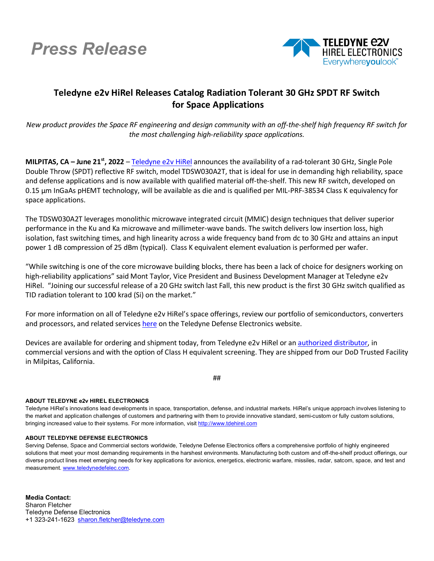## *Press Release*



## **Teledyne e2v HiRel Releases Catalog Radiation Tolerant 30 GHz SPDT RF Switch for Space Applications**

*New product provides the Space RF engineering and design community with an off-the-shelf high frequency RF switch for the most challenging high-reliability space applications.*

**MILPITAS, CA – June 21st, 2022** – [Teledyne e2v](https://www.teledynedefenseelectronics.com/e2vhrel/Pages/About%20Us.aspx) HiRel announces the availability of a rad-tolerant 30 GHz, Single Pole Double Throw (SPDT) reflective RF switch, model TDSW030A2T, that is ideal for use in demanding high reliability, space and defense applications and is now available with qualified material off-the-shelf. This new RF switch, developed on 0.15 μm InGaAs pHEMT technology, will be available as die and is qualified per MIL-PRF-38534 Class K equivalency for space applications.

The TDSW030A2T leverages monolithic microwave integrated circuit (MMIC) design techniques that deliver superior performance in the Ku and Ka microwave and millimeter-wave bands. The switch delivers low insertion loss, high isolation, fast switching times, and high linearity across a wide frequency band from dc to 30 GHz and attains an input power 1 dB compression of 25 dBm (typical). Class K equivalent element evaluation is performed per wafer.

"While switching is one of the core microwave building blocks, there has been a lack of choice for designers working on high-reliability applications" said Mont Taylor, Vice President and Business Development Manager at Teledyne e2v HiRel. "Joining our successful release of a 20 GHz switch last Fall, this new product is the first 30 GHz switch qualified as TID radiation tolerant to 100 krad (Si) on the market."

For more information on all of Teledyne e2v HiRel's space offerings, review our portfolio of semiconductors, converters and processors, and related services [here](https://www.teledynedefenseelectronics.com/e2vhrel/products/Pages/e2v%20HIREL%20ELECTRONICS.aspx) on the Teledyne Defense Electronics website.

Devices are available for ordering and shipment today, from Teledyne e2v HiRel or a[n authorized distributor,](https://www.teledynedefenseelectronics.com/e2vhrel/Pages/Where-to-Buy.aspx) in commercial versions and with the option of Class H equivalent screening. They are shipped from our DoD Trusted Facility in Milpitas, California.

##

## **ABOUT TELEDYNE e2v HIREL ELECTRONICS**

Teledyne HiRel's innovations lead developments in space, transportation, defense, and industrial markets. HiRel's unique approach involves listening to the market and application challenges of customers and partnering with them to provide innovative standard, semi-custom or fully custom solutions, bringing increased value to their systems. For more information, visit [http://www.tdehirel.com](http://www.tdehirel.com/)

## **ABOUT TELEDYNE DEFENSE ELECTRONICS**

Serving Defense, Space and Commercial sectors worldwide, Teledyne Defense Electronics offers a comprehensive portfolio of highly engineered solutions that meet your most demanding requirements in the harshest environments. Manufacturing both custom and off-the-shelf product offerings, our diverse product lines meet emerging needs for key applications for avionics, energetics, electronic warfare, missiles, radar, satcom, space, and test and measurement. [www.teledynedefelec.com.](http://www.teledynedefelec.com/) 

**Media Contact:** Sharon Fletcher Teledyne Defense Electronics +1 323-241-1623 [sharon.fletcher@teledyne.com](mailto:sharon.fletcher@teledyne.com)